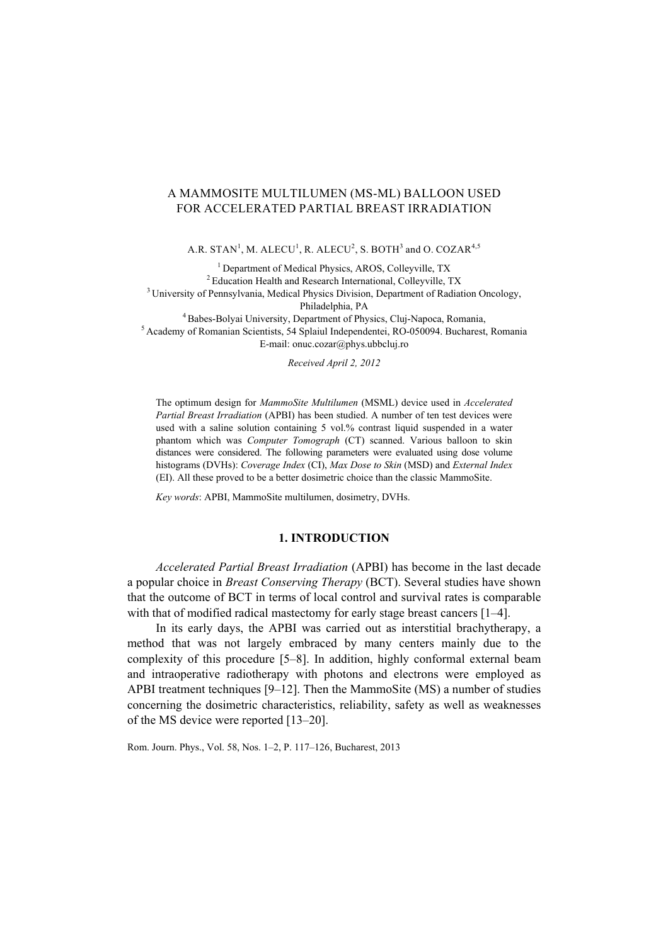# A MAMMOSITE MULTILUMEN (MS-ML) BALLOON USED FOR ACCELERATED PARTIAL BREAST IRRADIATION

A.R. STAN<sup>1</sup>, M. ALECU<sup>1</sup>, R. ALECU<sup>2</sup>, S. BOTH<sup>3</sup> and O. COZAR<sup>4,5</sup>

<sup>1</sup> Department of Medical Physics, AROS, Colleyville, TX<br><sup>2</sup> Education Health and Research International, Colleyville, TX <sup>3</sup> University of Pennsylvania, Medical Physics Division, Department of Radiation Oncology, Philadelphia, PA<br><sup>5</sup> Academy of Romanian Scientists, 54 Splaiul Independentei, RO-050094. Bucharest, Romania<sup>5</sup> E-mail: onuc.cozar@phys.ubbcluj.ro

*Received April 2, 2012* 

The optimum design for *MammoSite Multilumen* (MSML) device used in *Accelerated Partial Breast Irradiation* (APBI) has been studied. A number of ten test devices were used with a saline solution containing 5 vol.% contrast liquid suspended in a water phantom which was *Computer Tomograph* (CT) scanned. Various balloon to skin distances were considered. The following parameters were evaluated using dose volume histograms (DVHs): *Coverage Index* (CI), *Max Dose to Skin* (MSD) and *External Index* (EI). All these proved to be a better dosimetric choice than the classic MammoSite.

*Key words*: APBI, MammoSite multilumen, dosimetry, DVHs.

## **1. INTRODUCTION**

*Accelerated Partial Breast Irradiation* (APBI) has become in the last decade a popular choice in *Breast Conserving Therapy* (BCT). Several studies have shown that the outcome of BCT in terms of local control and survival rates is comparable with that of modified radical mastectomy for early stage breast cancers [1–4].

In its early days, the APBI was carried out as interstitial brachytherapy, a method that was not largely embraced by many centers mainly due to the complexity of this procedure [5–8]. In addition, highly conformal external beam and intraoperative radiotherapy with photons and electrons were employed as APBI treatment techniques [9–12]. Then the MammoSite (MS) a number of studies concerning the dosimetric characteristics, reliability, safety as well as weaknesses of the MS device were reported [13–20].

Rom. Journ. Phys., Vol. 58, Nos. 1–2, P. 117–126, Bucharest, 2013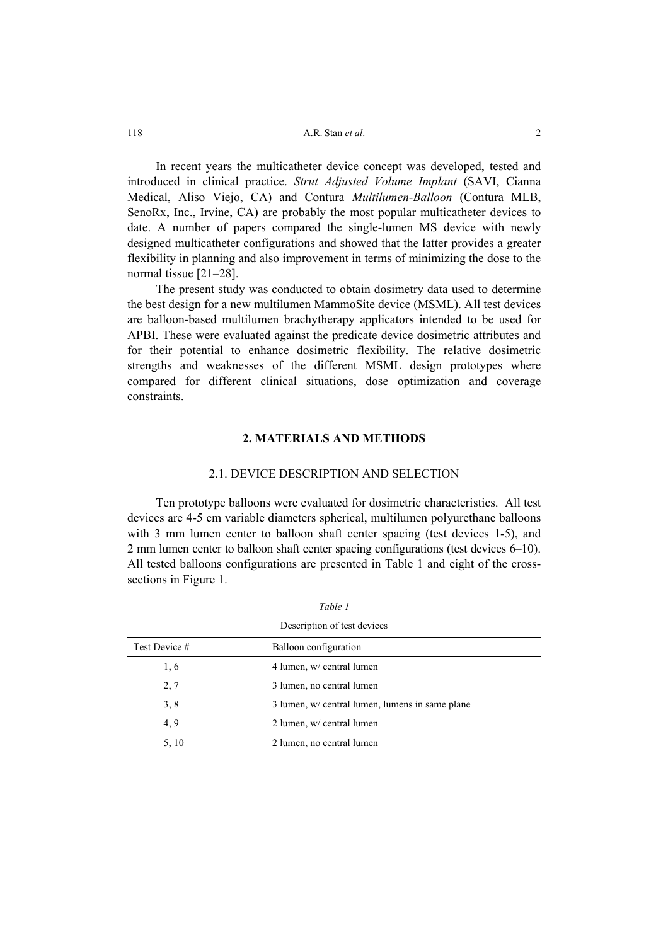In recent years the multicatheter device concept was developed, tested and introduced in clinical practice. *Strut Adjusted Volume Implant* (SAVI, Cianna Medical, Aliso Viejo, CA) and Contura *Multilumen-Balloon* (Contura MLB, SenoRx, Inc., Irvine, CA) are probably the most popular multicatheter devices to date. A number of papers compared the single-lumen MS device with newly designed multicatheter configurations and showed that the latter provides a greater flexibility in planning and also improvement in terms of minimizing the dose to the normal tissue [21–28].

The present study was conducted to obtain dosimetry data used to determine the best design for a new multilumen MammoSite device (MSML). All test devices are balloon-based multilumen brachytherapy applicators intended to be used for APBI. These were evaluated against the predicate device dosimetric attributes and for their potential to enhance dosimetric flexibility. The relative dosimetric strengths and weaknesses of the different MSML design prototypes where compared for different clinical situations, dose optimization and coverage constraints.

## **2. MATERIALS AND METHODS**

### 2.1. DEVICE DESCRIPTION AND SELECTION

Ten prototype balloons were evaluated for dosimetric characteristics. All test devices are 4-5 cm variable diameters spherical, multilumen polyurethane balloons with 3 mm lumen center to balloon shaft center spacing (test devices 1-5), and 2 mm lumen center to balloon shaft center spacing configurations (test devices 6–10). All tested balloons configurations are presented in Table 1 and eight of the crosssections in Figure 1.

| Description of test devices |                                                 |  |  |  |
|-----------------------------|-------------------------------------------------|--|--|--|
| Test Device #               | Balloon configuration                           |  |  |  |
| 1, 6                        | 4 lumen, w/ central lumen                       |  |  |  |
| 2,7                         | 3 lumen, no central lumen                       |  |  |  |
| 3, 8                        | 3 lumen, w/ central lumen, lumens in same plane |  |  |  |
| 4, 9                        | 2 lumen, w/ central lumen                       |  |  |  |
| 5, 10                       | 2 lumen, no central lumen                       |  |  |  |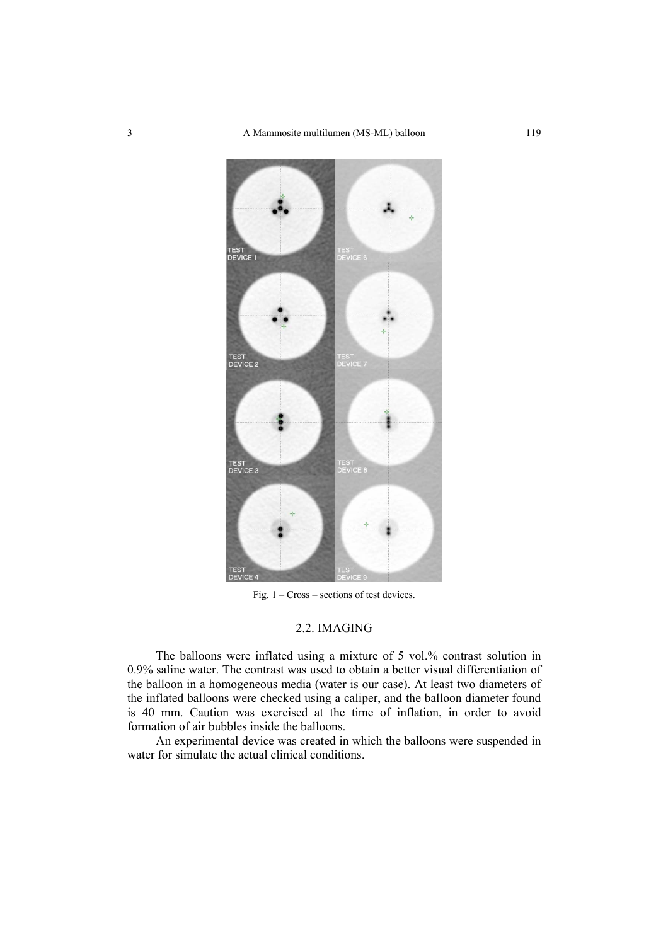

Fig. 1 – Cross – sections of test devices.

## 2.2. IMAGING

The balloons were inflated using a mixture of 5 vol.% contrast solution in 0.9% saline water. The contrast was used to obtain a better visual differentiation of the balloon in a homogeneous media (water is our case). At least two diameters of the inflated balloons were checked using a caliper, and the balloon diameter found is 40 mm. Caution was exercised at the time of inflation, in order to avoid formation of air bubbles inside the balloons.

An experimental device was created in which the balloons were suspended in water for simulate the actual clinical conditions.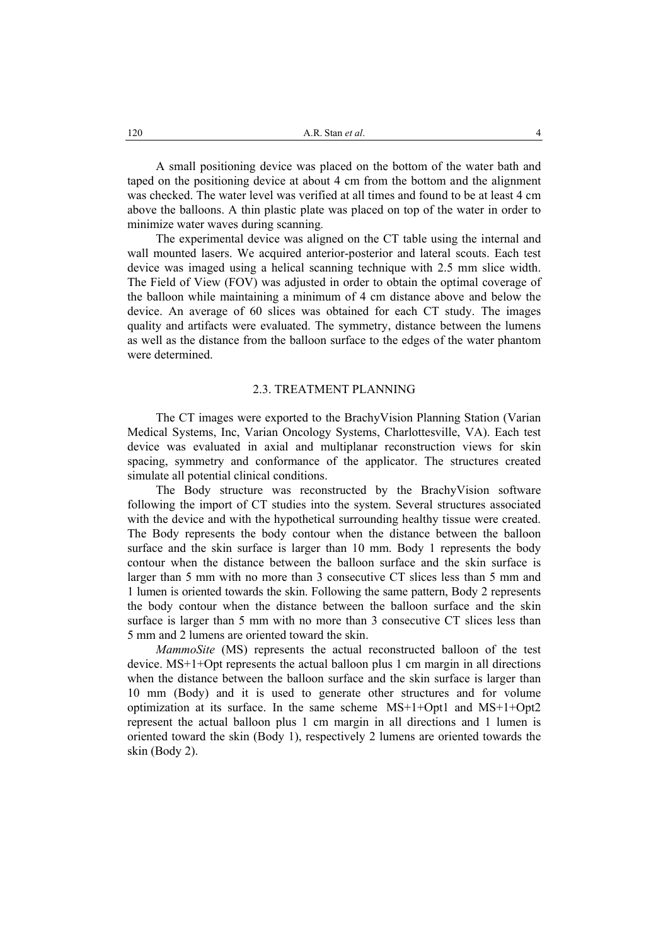A small positioning device was placed on the bottom of the water bath and taped on the positioning device at about 4 cm from the bottom and the alignment was checked. The water level was verified at all times and found to be at least 4 cm above the balloons. A thin plastic plate was placed on top of the water in order to minimize water waves during scanning*.*

The experimental device was aligned on the CT table using the internal and wall mounted lasers. We acquired anterior-posterior and lateral scouts. Each test device was imaged using a helical scanning technique with 2.5 mm slice width. The Field of View (FOV) was adjusted in order to obtain the optimal coverage of the balloon while maintaining a minimum of 4 cm distance above and below the device. An average of 60 slices was obtained for each CT study. The images quality and artifacts were evaluated. The symmetry, distance between the lumens as well as the distance from the balloon surface to the edges of the water phantom were determined.

### 2.3. TREATMENT PLANNING

The CT images were exported to the BrachyVision Planning Station (Varian Medical Systems, Inc, Varian Oncology Systems, Charlottesville, VA). Each test device was evaluated in axial and multiplanar reconstruction views for skin spacing, symmetry and conformance of the applicator. The structures created simulate all potential clinical conditions.

The Body structure was reconstructed by the BrachyVision software following the import of CT studies into the system. Several structures associated with the device and with the hypothetical surrounding healthy tissue were created. The Body represents the body contour when the distance between the balloon surface and the skin surface is larger than 10 mm. Body 1 represents the body contour when the distance between the balloon surface and the skin surface is larger than 5 mm with no more than 3 consecutive CT slices less than 5 mm and 1 lumen is oriented towards the skin. Following the same pattern, Body 2 represents the body contour when the distance between the balloon surface and the skin surface is larger than 5 mm with no more than 3 consecutive CT slices less than 5 mm and 2 lumens are oriented toward the skin.

*MammoSite* (MS) represents the actual reconstructed balloon of the test device. MS+1+Opt represents the actual balloon plus 1 cm margin in all directions when the distance between the balloon surface and the skin surface is larger than 10 mm (Body) and it is used to generate other structures and for volume optimization at its surface. In the same scheme MS+1+Opt1 and MS+1+Opt2 represent the actual balloon plus 1 cm margin in all directions and 1 lumen is oriented toward the skin (Body 1), respectively 2 lumens are oriented towards the skin (Body 2).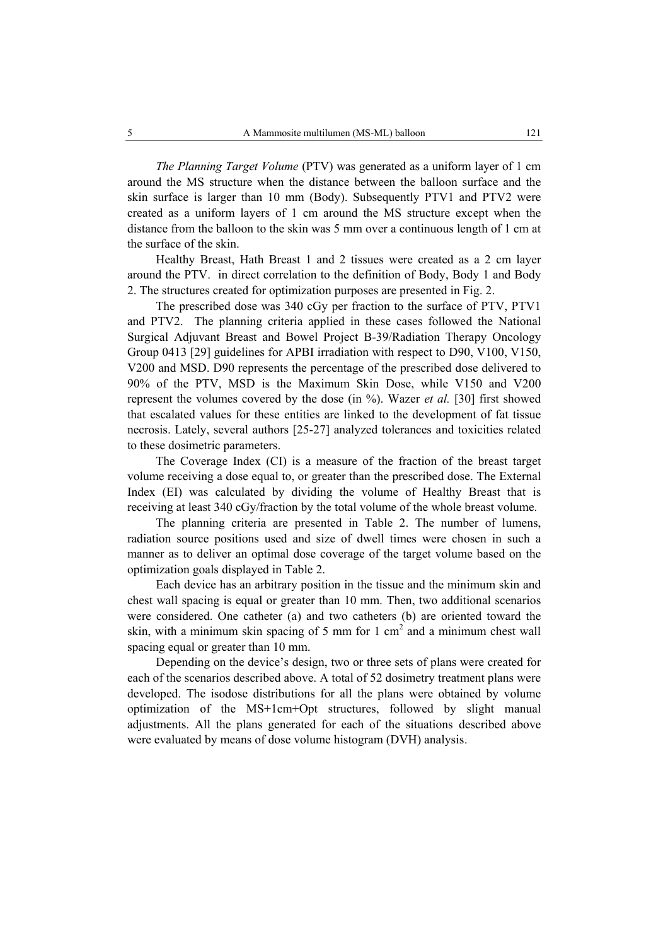*The Planning Target Volume* (PTV) was generated as a uniform layer of 1 cm around the MS structure when the distance between the balloon surface and the skin surface is larger than 10 mm (Body). Subsequently PTV1 and PTV2 were created as a uniform layers of 1 cm around the MS structure except when the distance from the balloon to the skin was 5 mm over a continuous length of 1 cm at the surface of the skin.

Healthy Breast, Hath Breast 1 and 2 tissues were created as a 2 cm layer around the PTV. in direct correlation to the definition of Body, Body 1 and Body 2. The structures created for optimization purposes are presented in Fig. 2.

The prescribed dose was 340 cGy per fraction to the surface of PTV, PTV1 and PTV2. The planning criteria applied in these cases followed the National Surgical Adjuvant Breast and Bowel Project B-39/Radiation Therapy Oncology Group 0413 [29] guidelines for APBI irradiation with respect to D90, V100, V150, V200 and MSD. D90 represents the percentage of the prescribed dose delivered to 90% of the PTV, MSD is the Maximum Skin Dose, while V150 and V200 represent the volumes covered by the dose (in %). Wazer *et al.* [30] first showed that escalated values for these entities are linked to the development of fat tissue necrosis. Lately, several authors [25-27] analyzed tolerances and toxicities related to these dosimetric parameters.

The Coverage Index (CI) is a measure of the fraction of the breast target volume receiving a dose equal to, or greater than the prescribed dose. The External Index (EI) was calculated by dividing the volume of Healthy Breast that is receiving at least 340 cGy/fraction by the total volume of the whole breast volume.

The planning criteria are presented in Table 2. The number of lumens, radiation source positions used and size of dwell times were chosen in such a manner as to deliver an optimal dose coverage of the target volume based on the optimization goals displayed in Table 2.

Each device has an arbitrary position in the tissue and the minimum skin and chest wall spacing is equal or greater than 10 mm. Then, two additional scenarios were considered. One catheter (a) and two catheters (b) are oriented toward the skin, with a minimum skin spacing of 5 mm for 1 cm<sup>2</sup> and a minimum chest wall spacing equal or greater than 10 mm.

Depending on the device's design, two or three sets of plans were created for each of the scenarios described above. A total of 52 dosimetry treatment plans were developed. The isodose distributions for all the plans were obtained by volume optimization of the MS+1cm+Opt structures, followed by slight manual adjustments. All the plans generated for each of the situations described above were evaluated by means of dose volume histogram (DVH) analysis.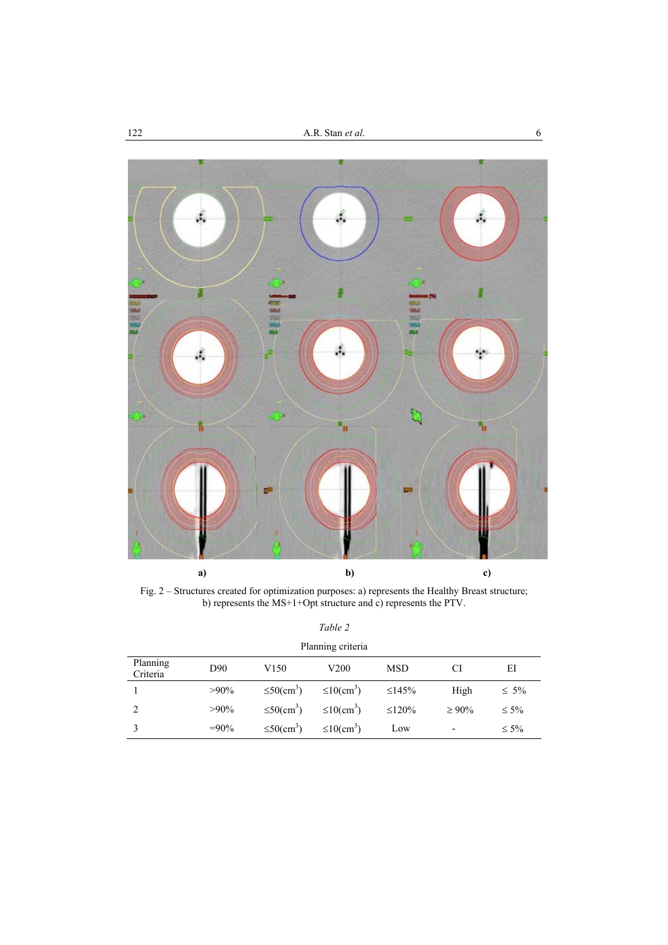

Fig. 2 – Structures created for optimization purposes: a) represents the Healthy Breast structure; b) represents the MS+1+Opt structure and c) represents the PTV.

| anı |  |
|-----|--|
|     |  |

| Planning criteria    |                 |                              |                              |              |                          |            |
|----------------------|-----------------|------------------------------|------------------------------|--------------|--------------------------|------------|
| Planning<br>Criteria | D <sub>90</sub> | V <sub>150</sub>             | V200                         | <b>MSD</b>   | CI                       | ΕI         |
|                      | $>90\%$         | $\leq 50$ (cm <sup>3</sup> ) | $\leq 10$ (cm <sup>3</sup> ) | $\leq$ 145%  | High                     | $\leq 5\%$ |
|                      | $>90\%$         | $\leq 50$ (cm <sup>3</sup> ) | $\leq 10$ (cm <sup>3</sup> ) | $\leq 120\%$ | $\geq 90\%$              | $\leq 5\%$ |
|                      | $=90\%$         | $\leq 50$ (cm <sup>3</sup> ) | $\leq 10$ (cm <sup>3</sup> ) | Low          | $\overline{\phantom{0}}$ | $\leq 5\%$ |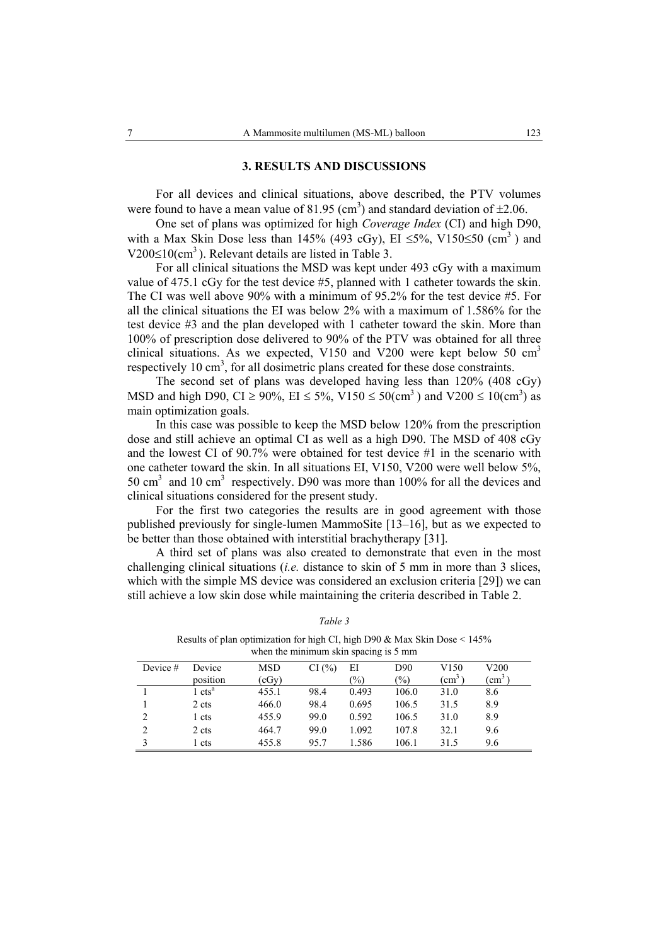### **3. RESULTS AND DISCUSSIONS**

For all devices and clinical situations, above described, the PTV volumes were found to have a mean value of 81.95 (cm<sup>3</sup>) and standard deviation of  $\pm 2.06$ .

One set of plans was optimized for high *Coverage Index* (CI) and high D90, with a Max Skin Dose less than 145% (493 cGy), EI  $\leq$ 5%, V150 $\leq$ 50 (cm<sup>3</sup>) and  $V200 \le 10$ (cm<sup>3</sup>). Relevant details are listed in Table 3.

For all clinical situations the MSD was kept under 493 cGy with a maximum value of 475.1 cGy for the test device #5, planned with 1 catheter towards the skin. The CI was well above 90% with a minimum of 95.2% for the test device #5. For all the clinical situations the EI was below 2% with a maximum of 1.586% for the test device #3 and the plan developed with 1 catheter toward the skin. More than 100% of prescription dose delivered to 90% of the PTV was obtained for all three clinical situations. As we expected, V150 and V200 were kept below 50  $cm<sup>3</sup>$ respectively 10  $\text{cm}^3$ , for all dosimetric plans created for these dose constraints.

The second set of plans was developed having less than 120% (408 cGy) MSD and high D90, CI  $\geq$  90%, EI  $\leq$  5%, V150  $\leq$  50(cm<sup>3</sup>) and V200  $\leq$  10(cm<sup>3</sup>) as main optimization goals.

In this case was possible to keep the MSD below 120% from the prescription dose and still achieve an optimal CI as well as a high D90. The MSD of 408 cGy and the lowest CI of 90.7% were obtained for test device #1 in the scenario with one catheter toward the skin. In all situations EI, V150, V200 were well below 5%, 50 cm<sup>3</sup> and 10 cm<sup>3</sup> respectively. D90 was more than 100% for all the devices and clinical situations considered for the present study.

For the first two categories the results are in good agreement with those published previously for single-lumen MammoSite [13–16], but as we expected to be better than those obtained with interstitial brachytherapy [31].

A third set of plans was also created to demonstrate that even in the most challenging clinical situations (*i.e.* distance to skin of 5 mm in more than 3 slices, which with the simple MS device was considered an exclusion criteria [29]) we can still achieve a low skin dose while maintaining the criteria described in Table 2.

|            |                    | "Their the minimum binn bpweing to c mini- |       |               |       |                  |                |
|------------|--------------------|--------------------------------------------|-------|---------------|-------|------------------|----------------|
| Device $#$ | Device             | <b>MSD</b>                                 | CI(%) | ΕI            | D90   | V <sub>150</sub> | V200           |
|            | position           | (cGy)                                      |       | $\frac{1}{2}$ | (%)   | $\rm (cm^3)$     | $\rm \ (cm^3)$ |
|            | 1 cts <sup>a</sup> | 455.1                                      | 98.4  | 0.493         | 106.0 | 31.0             | 8.6            |
|            | 2 cts              | 466.0                                      | 98.4  | 0.695         | 106.5 | 31.5             | 8.9            |
| 2          | 1 cts              | 455.9                                      | 99.0  | 0.592         | 106.5 | 31.0             | 8.9            |
| 2          | 2 cts              | 464.7                                      | 99.0  | 1.092         | 107.8 | 32.1             | 9.6            |
|            | 1 cts              | 455.8                                      | 95.7  | 1.586         | 106.1 | 31.5             | 9.6            |

*Table 3* 

Results of plan optimization for high CI, high D90  $\&$  Max Skin Dose  $\leq 145\%$ when the minimum skin spacing is 5 mm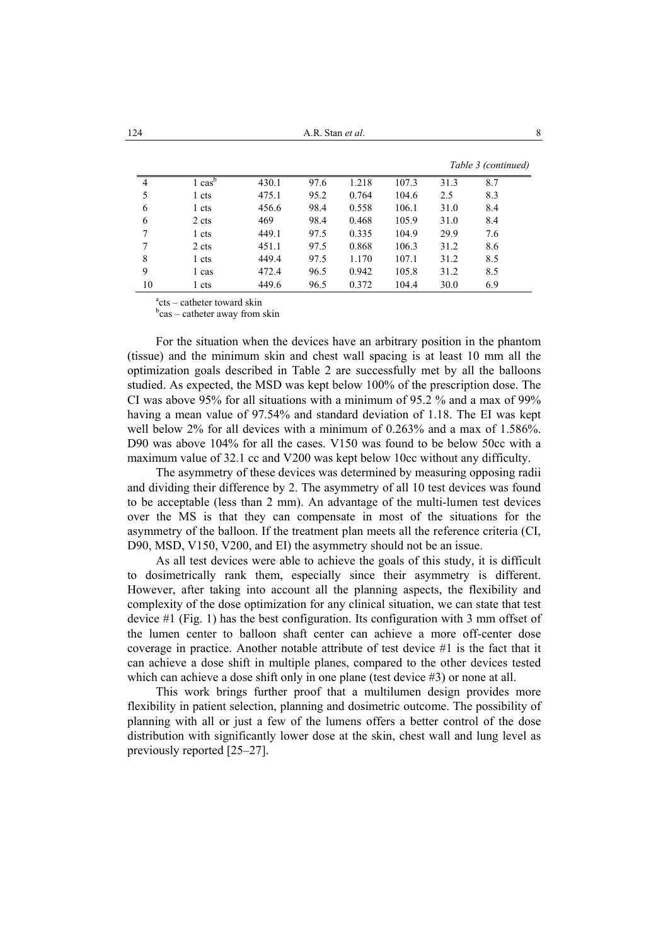|                |                                        |       |      |       | Table 3 (continued) |      |     |
|----------------|----------------------------------------|-------|------|-------|---------------------|------|-----|
| $\overline{4}$ | $\overline{\text{1}}$ cas <sup>b</sup> | 430.1 | 97.6 | 1.218 | 107.3               | 31.3 | 8.7 |
| 5              | 1 cts                                  | 475.1 | 95.2 | 0.764 | 104.6               | 2.5  | 8.3 |
| 6              | 1 cts                                  | 456.6 | 98.4 | 0.558 | 106.1               | 31.0 | 8.4 |
| 6              | 2 cts                                  | 469   | 98.4 | 0.468 | 105.9               | 31.0 | 8.4 |
| 7              | 1 cts                                  | 449.1 | 97.5 | 0.335 | 104.9               | 29.9 | 7.6 |
| 7              | 2 cts                                  | 451.1 | 97.5 | 0.868 | 106.3               | 31.2 | 8.6 |
| 8              | 1 cts                                  | 449.4 | 97.5 | 1.170 | 107.1               | 31.2 | 8.5 |
| 9              | 1 cas                                  | 472.4 | 96.5 | 0.942 | 105.8               | 31.2 | 8.5 |
| 10             | 1 cts                                  | 449.6 | 96.5 | 0.372 | 104.4               | 30.0 | 6.9 |

a cts – catheter toward skin

<sup>b</sup>cas – catheter away from skin

For the situation when the devices have an arbitrary position in the phantom (tissue) and the minimum skin and chest wall spacing is at least 10 mm all the optimization goals described in Table 2 are successfully met by all the balloons studied. As expected, the MSD was kept below 100% of the prescription dose. The CI was above 95% for all situations with a minimum of 95.2 % and a max of 99% having a mean value of 97.54% and standard deviation of 1.18. The EI was kept well below 2% for all devices with a minimum of 0.263% and a max of 1.586%. D90 was above 104% for all the cases. V150 was found to be below 50cc with a maximum value of 32.1 cc and V200 was kept below 10cc without any difficulty.

 The asymmetry of these devices was determined by measuring opposing radii and dividing their difference by 2. The asymmetry of all 10 test devices was found to be acceptable (less than 2 mm). An advantage of the multi-lumen test devices over the MS is that they can compensate in most of the situations for the asymmetry of the balloon. If the treatment plan meets all the reference criteria (CI, D90, MSD, V150, V200, and EI) the asymmetry should not be an issue.

 As all test devices were able to achieve the goals of this study, it is difficult to dosimetrically rank them, especially since their asymmetry is different. However, after taking into account all the planning aspects, the flexibility and complexity of the dose optimization for any clinical situation, we can state that test device #1 (Fig. 1) has the best configuration. Its configuration with 3 mm offset of the lumen center to balloon shaft center can achieve a more off-center dose coverage in practice. Another notable attribute of test device #1 is the fact that it can achieve a dose shift in multiple planes, compared to the other devices tested which can achieve a dose shift only in one plane (test device #3) or none at all.

This work brings further proof that a multilumen design provides more flexibility in patient selection, planning and dosimetric outcome. The possibility of planning with all or just a few of the lumens offers a better control of the dose distribution with significantly lower dose at the skin, chest wall and lung level as previously reported [25–27].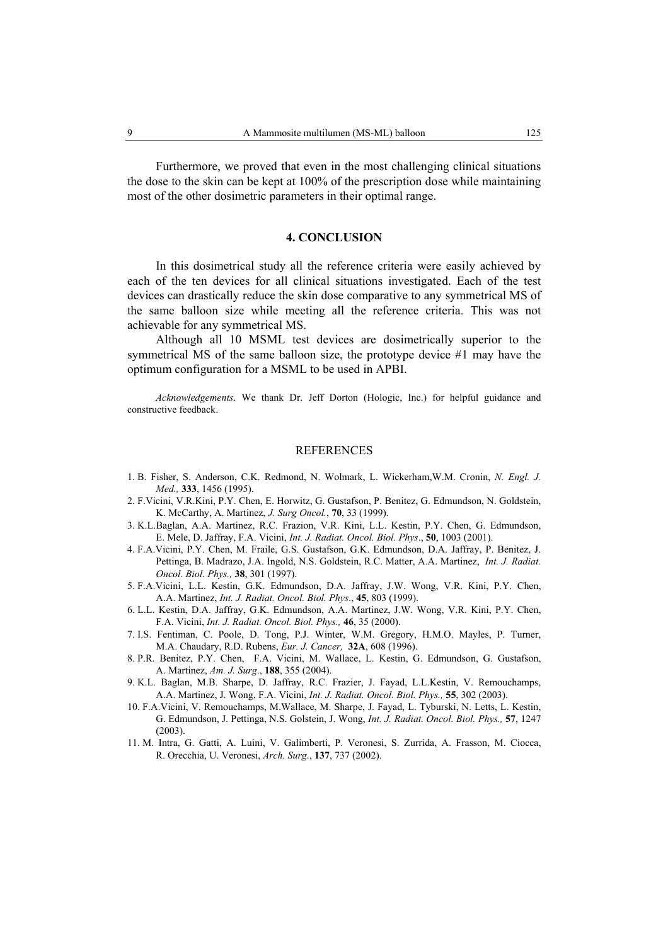Furthermore, we proved that even in the most challenging clinical situations the dose to the skin can be kept at 100% of the prescription dose while maintaining most of the other dosimetric parameters in their optimal range.

#### **4. CONCLUSION**

In this dosimetrical study all the reference criteria were easily achieved by each of the ten devices for all clinical situations investigated. Each of the test devices can drastically reduce the skin dose comparative to any symmetrical MS of the same balloon size while meeting all the reference criteria. This was not achievable for any symmetrical MS.

Although all 10 MSML test devices are dosimetrically superior to the symmetrical MS of the same balloon size, the prototype device #1 may have the optimum configuration for a MSML to be used in APBI.

*Acknowledgements*. We thank Dr. Jeff Dorton (Hologic, Inc.) for helpful guidance and constructive feedback.

#### **REFERENCES**

- 1. B. Fisher, S. Anderson, C.K. Redmond, N. Wolmark, L. Wickerham,W.M. Cronin, *N. Engl. J. Med.,* **333**, 1456 (1995).
- 2. F.Vicini, V.R.Kini, P.Y. Chen, E. Horwitz, G. Gustafson, P. Benitez, G. Edmundson, N. Goldstein, K. McCarthy, A. Martinez, *J. Surg Oncol.*, **70**, 33 (1999).
- 3. K.L.Baglan, A.A. Martinez, R.C. Frazion, V.R. Kini, L.L. Kestin, P.Y. Chen, G. Edmundson, E. Mele, D. Jaffray, F.A. Vicini, *Int. J. Radiat. Oncol. Biol. Phys*., **50**, 1003 (2001).
- 4. F.A.Vicini, P.Y. Chen, M. Fraile, G.S. Gustafson, G.K. Edmundson, D.A. Jaffray, P. Benitez, J. Pettinga, B. Madrazo, J.A. Ingold, N.S. Goldstein, R.C. Matter, A.A. Martinez, *Int. J. Radiat. Oncol. Biol. Phys.,* **38**, 301 (1997).
- 5. F.A.Vicini, L.L. Kestin, G.K. Edmundson, D.A. Jaffray, J.W. Wong, V.R. Kini, P.Y. Chen, A.A. Martinez, *Int. J. Radiat. Oncol. Biol. Phys*., **45**, 803 (1999).
- 6. L.L. Kestin, D.A. Jaffray, G.K. Edmundson, A.A. Martinez, J.W. Wong, V.R. Kini, P.Y. Chen, F.A. Vicini, *Int. J. Radiat. Oncol. Biol. Phys.,* **46**, 35 (2000).
- 7. I.S. Fentiman, C. Poole, D. Tong, P.J. Winter, W.M. Gregory, H.M.O. Mayles, P. Turner, M.A. Chaudary, R.D. Rubens, *Eur. J. Cancer,* **32A**, 608 (1996).
- 8. P.R. Benitez, P.Y. Chen, F.A. Vicini, M. Wallace, L. Kestin, G. Edmundson, G. Gustafson, A. Martinez, *Am. J. Surg*., **188**, 355 (2004).
- 9. K.L. Baglan, M.B. Sharpe, D. Jaffray, R.C. Frazier, J. Fayad, L.L.Kestin, V. Remouchamps, A.A. Martinez, J. Wong, F.A. Vicini, *Int. J. Radiat. Oncol. Biol. Phys.,* **55**, 302 (2003).
- 10. F.A.Vicini, V. Remouchamps, M.Wallace, M. Sharpe, J. Fayad, L. Tyburski, N. Letts, L. Kestin, G. Edmundson, J. Pettinga, N.S. Golstein, J. Wong, *Int. J. Radiat. Oncol. Biol. Phys.,* **57**, 1247 (2003).
- 11. M. Intra, G. Gatti, A. Luini, V. Galimberti, P. Veronesi, S. Zurrida, A. Frasson, M. Ciocca, R. Orecchia, U. Veronesi, *Arch. Surg*., **137**, 737 (2002).